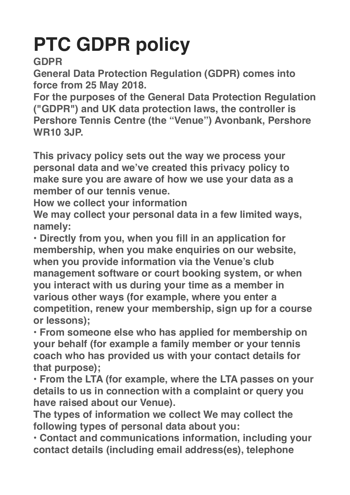## **PTC GDPR policy**

## **GDPR**

**General Data Protection Regulation (GDPR) comes into force from 25 May 2018.**

**For the purposes of the General Data Protection Regulation ("GDPR") and UK data protection laws, the controller is Pershore Tennis Centre (the "Venue") Avonbank, Pershore WR10 3JP.**

**This privacy policy sets out the way we process your personal data and we've created this privacy policy to make sure you are aware of how we use your data as a member of our tennis venue.**

**How we collect your information**

**We may collect your personal data in a few limited ways, namely:**

**• Directly from you, when you fill in an application for membership, when you make enquiries on our website, when you provide information via the Venue's club management software or court booking system, or when you interact with us during your time as a member in various other ways (for example, where you enter a competition, renew your membership, sign up for a course or lessons);**

**• From someone else who has applied for membership on your behalf (for example a family member or your tennis coach who has provided us with your contact details for that purpose);**

**• From the LTA (for example, where the LTA passes on your details to us in connection with a complaint or query you have raised about our Venue).**

**The types of information we collect We may collect the following types of personal data about you:**

**• Contact and communications information, including your contact details (including email address(es), telephone**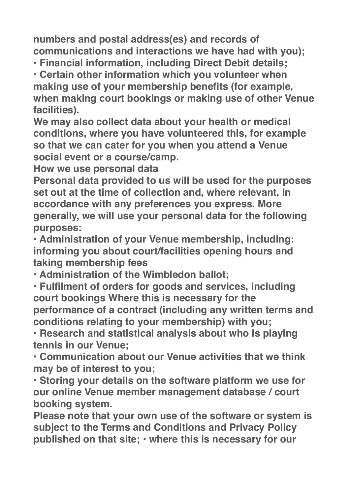**numbers and postal address(es) and records of communications and interactions we have had with you);**

**• Financial information, including Direct Debit details;**

**• Certain other information which you volunteer when making use of your membership benefits (for example, when making court bookings or making use of other Venue facilities).**

**We may also collect data about your health or medical conditions, where you have volunteered this, for example so that we can cater for you when you attend a Venue social event or a course/camp.**

**How we use personal data**

**Personal data provided to us will be used for the purposes set out at the time of collection and, where relevant, in accordance with any preferences you express. More generally, we will use your personal data for the following purposes:**

**• Administration of your Venue membership, including: informing you about court/facilities opening hours and taking membership fees**

**• Administration of the Wimbledon ballot;**

**• Fulfilment of orders for goods and services, including court bookings Where this is necessary for the performance of a contract (including any written terms and conditions relating to your membership) with you;**

**• Research and statistical analysis about who is playing tennis in our Venue;**

**• Communication about our Venue activities that we think may be of interest to you;**

**• Storing your details on the software platform we use for our online Venue member management database / court booking system.**

**Please note that your own use of the software or system is subject to the Terms and Conditions and Privacy Policy published on that site; • where this is necessary for our**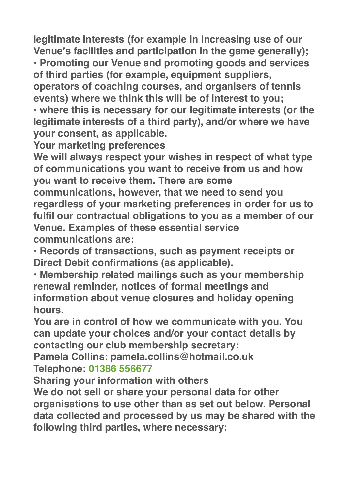**legitimate interests (for example in increasing use of our Venue's facilities and participation in the game generally);**

**• Promoting our Venue and promoting goods and services of third parties (for example, equipment suppliers,** 

**operators of coaching courses, and organisers of tennis events) where we think this will be of interest to you;**

**• where this is necessary for our legitimate interests (or the legitimate interests of a third party), and/or where we have your consent, as applicable.**

**Your marketing preferences**

**We will always respect your wishes in respect of what type of communications you want to receive from us and how you want to receive them. There are some** 

**communications, however, that we need to send you regardless of your marketing preferences in order for us to fulfil our contractual obligations to you as a member of our Venue. Examples of these essential service communications are:**

**• Records of transactions, such as payment receipts or Direct Debit confirmations (as applicable).**

**• Membership related mailings such as your membership renewal reminder, notices of formal meetings and information about venue closures and holiday opening hours.**

**You are in control of how we communicate with you. You can update your choices and/or your contact details by contacting our club membership secretary:**

**Pamela Collins: pamela.collins@hotmail.co.uk Telephone: 01386 556677**

**Sharing your information with others**

**We do not sell or share your personal data for other organisations to use other than as set out below. Personal data collected and processed by us may be shared with the following third parties, where necessary:**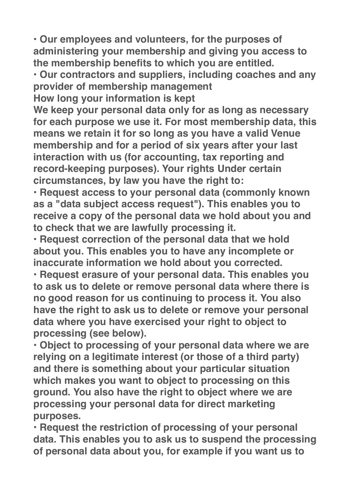**• Our employees and volunteers, for the purposes of administering your membership and giving you access to the membership benefits to which you are entitled.**

**• Our contractors and suppliers, including coaches and any provider of membership management**

**How long your information is kept**

**We keep your personal data only for as long as necessary for each purpose we use it. For most membership data, this means we retain it for so long as you have a valid Venue membership and for a period of six years after your last interaction with us (for accounting, tax reporting and record-keeping purposes). Your rights Under certain circumstances, by law you have the right to:**

**• Request access to your personal data (commonly known as a "data subject access request"). This enables you to receive a copy of the personal data we hold about you and to check that we are lawfully processing it.**

**• Request correction of the personal data that we hold about you. This enables you to have any incomplete or inaccurate information we hold about you corrected.**

**• Request erasure of your personal data. This enables you to ask us to delete or remove personal data where there is no good reason for us continuing to process it. You also have the right to ask us to delete or remove your personal data where you have exercised your right to object to processing (see below).**

**• Object to processing of your personal data where we are relying on a legitimate interest (or those of a third party) and there is something about your particular situation which makes you want to object to processing on this ground. You also have the right to object where we are processing your personal data for direct marketing purposes.**

**• Request the restriction of processing of your personal data. This enables you to ask us to suspend the processing of personal data about you, for example if you want us to**